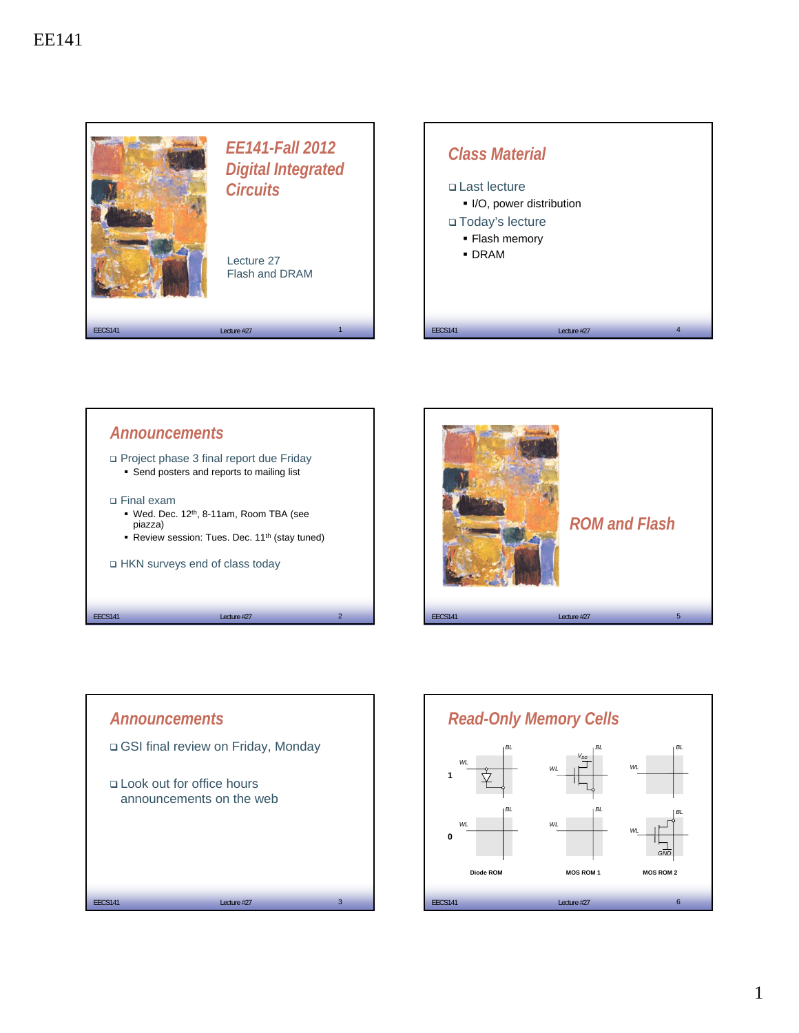







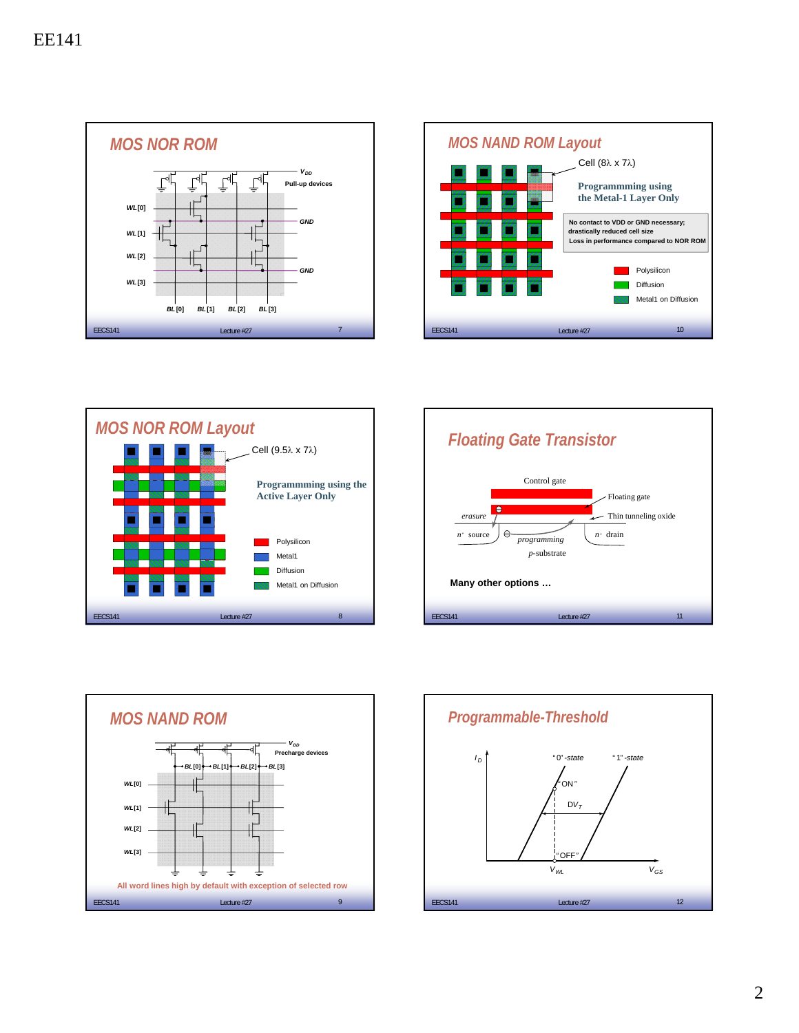









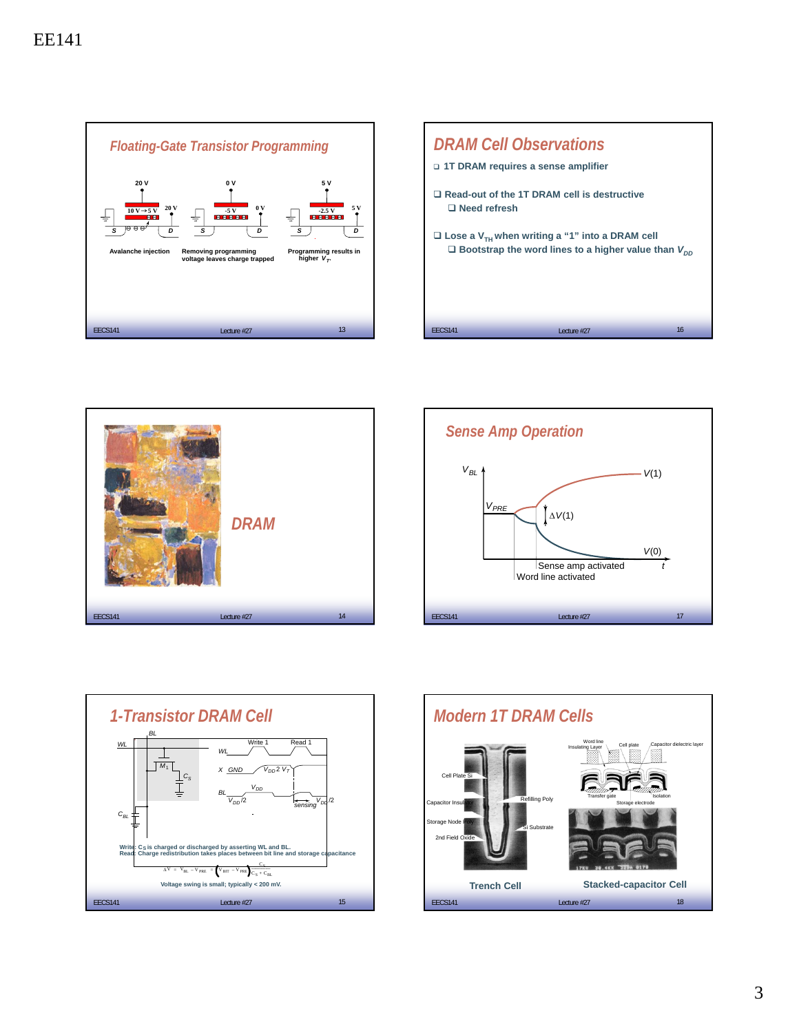